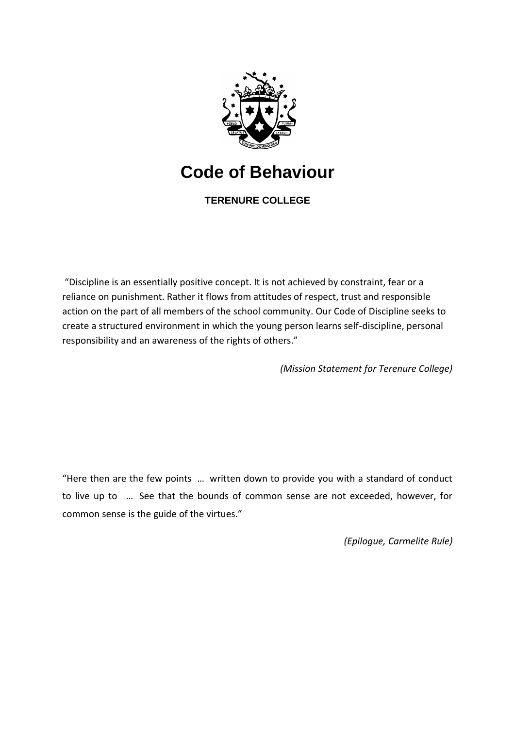

# **Code of Behaviour**

**TERENURE COLLEGE**

"Discipline is an essentially positive concept. It is not achieved by constraint, fear or a reliance on punishment. Rather it flows from attitudes of respect, trust and responsible action on the part of all members of the school community. Our Code of Discipline seeks to create a structured environment in which the young person learns self-discipline, personal responsibility and an awareness of the rights of others."

*(Mission Statement for Terenure College)*

"Here then are the few points … written down to provide you with a standard of conduct to live up to … See that the bounds of common sense are not exceeded, however, for common sense is the guide of the virtues."

*(Epilogue, Carmelite Rule)*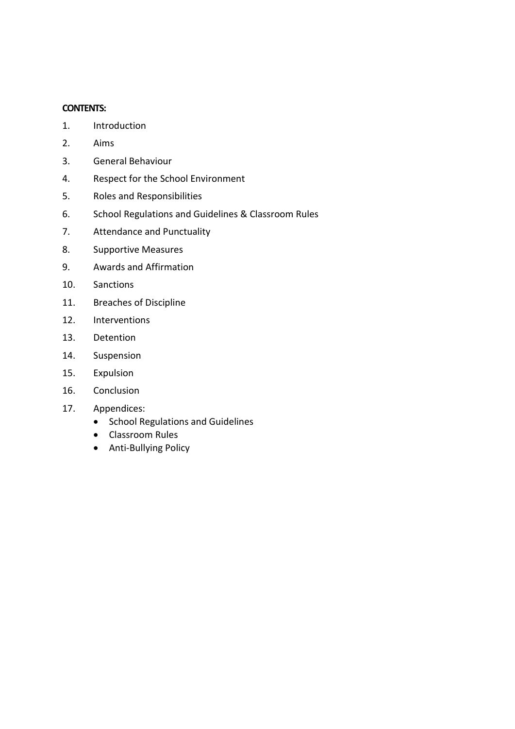## **CONTENTS:**

- 1. Introduction
- 2. Aims
- 3. General Behaviour
- 4. Respect for the School Environment
- 5. Roles and Responsibilities
- 6. School Regulations and Guidelines & Classroom Rules
- 7. Attendance and Punctuality
- 8. Supportive Measures
- 9. Awards and Affirmation
- 10. Sanctions
- 11. Breaches of Discipline
- 12. Interventions
- 13. Detention
- 14. Suspension
- 15. Expulsion
- 16. Conclusion
- 17. Appendices:
	- School Regulations and Guidelines
	- Classroom Rules
	- Anti-Bullying Policy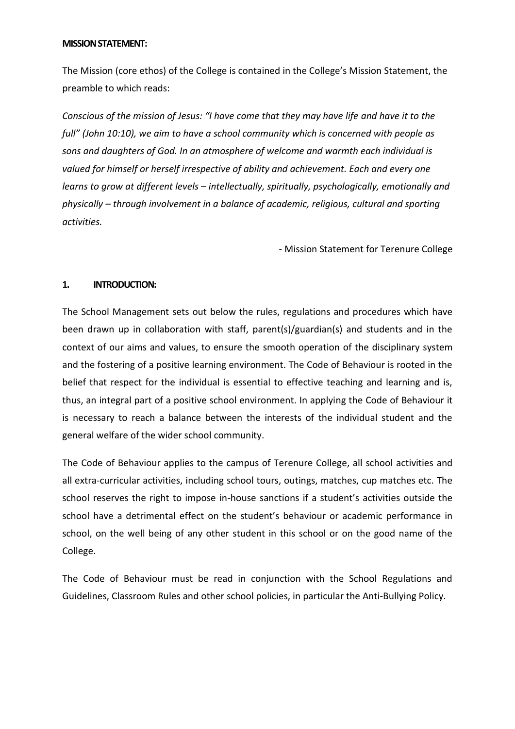#### **MISSION STATEMENT:**

The Mission (core ethos) of the College is contained in the College's Mission Statement, the preamble to which reads:

*Conscious of the mission of Jesus: "I have come that they may have life and have it to the full" (John 10:10), we aim to have a school community which is concerned with people as sons and daughters of God. In an atmosphere of welcome and warmth each individual is valued for himself or herself irrespective of ability and achievement. Each and every one learns to grow at different levels – intellectually, spiritually, psychologically, emotionally and physically – through involvement in a balance of academic, religious, cultural and sporting activities.*

- Mission Statement for Terenure College

# **1. INTRODUCTION:**

The School Management sets out below the rules, regulations and procedures which have been drawn up in collaboration with staff, parent(s)/guardian(s) and students and in the context of our aims and values, to ensure the smooth operation of the disciplinary system and the fostering of a positive learning environment. The Code of Behaviour is rooted in the belief that respect for the individual is essential to effective teaching and learning and is, thus, an integral part of a positive school environment. In applying the Code of Behaviour it is necessary to reach a balance between the interests of the individual student and the general welfare of the wider school community.

The Code of Behaviour applies to the campus of Terenure College, all school activities and all extra-curricular activities, including school tours, outings, matches, cup matches etc. The school reserves the right to impose in-house sanctions if a student's activities outside the school have a detrimental effect on the student's behaviour or academic performance in school, on the well being of any other student in this school or on the good name of the College.

The Code of Behaviour must be read in conjunction with the School Regulations and Guidelines, Classroom Rules and other school policies, in particular the Anti-Bullying Policy.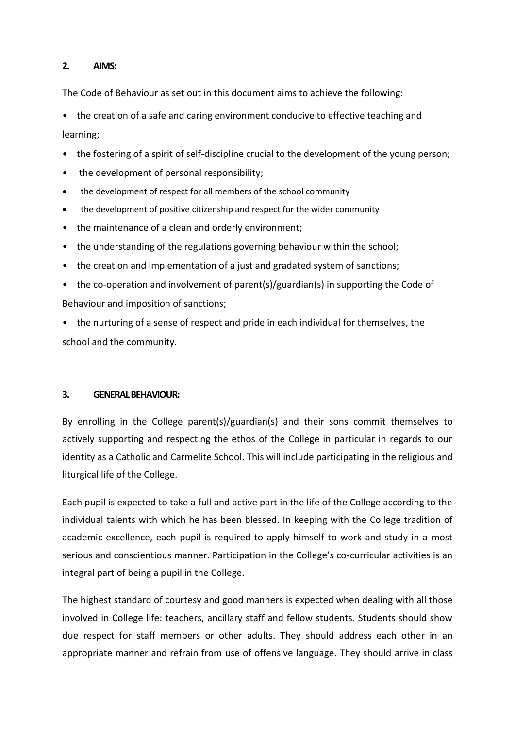## **2. AIMS:**

The Code of Behaviour as set out in this document aims to achieve the following:

• the creation of a safe and caring environment conducive to effective teaching and learning;

- the fostering of a spirit of self-discipline crucial to the development of the young person;
- the development of personal responsibility;
- the development of respect for all members of the school community
- the development of positive citizenship and respect for the wider community
- the maintenance of a clean and orderly environment;
- the understanding of the regulations governing behaviour within the school;
- the creation and implementation of a just and gradated system of sanctions;
- the co-operation and involvement of parent(s)/guardian(s) in supporting the Code of Behaviour and imposition of sanctions;
- the nurturing of a sense of respect and pride in each individual for themselves, the school and the community.

# **3. GENERAL BEHAVIOUR:**

By enrolling in the College parent(s)/guardian(s) and their sons commit themselves to actively supporting and respecting the ethos of the College in particular in regards to our identity as a Catholic and Carmelite School. This will include participating in the religious and liturgical life of the College.

Each pupil is expected to take a full and active part in the life of the College according to the individual talents with which he has been blessed. In keeping with the College tradition of academic excellence, each pupil is required to apply himself to work and study in a most serious and conscientious manner. Participation in the College's co-curricular activities is an integral part of being a pupil in the College.

The highest standard of courtesy and good manners is expected when dealing with all those involved in College life: teachers, ancillary staff and fellow students. Students should show due respect for staff members or other adults. They should address each other in an appropriate manner and refrain from use of offensive language. They should arrive in class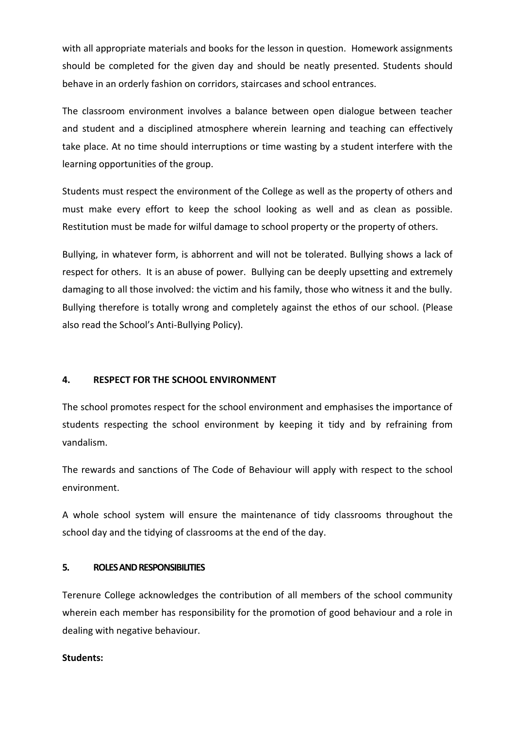with all appropriate materials and books for the lesson in question. Homework assignments should be completed for the given day and should be neatly presented. Students should behave in an orderly fashion on corridors, staircases and school entrances.

The classroom environment involves a balance between open dialogue between teacher and student and a disciplined atmosphere wherein learning and teaching can effectively take place. At no time should interruptions or time wasting by a student interfere with the learning opportunities of the group.

Students must respect the environment of the College as well as the property of others and must make every effort to keep the school looking as well and as clean as possible. Restitution must be made for wilful damage to school property or the property of others.

Bullying, in whatever form, is abhorrent and will not be tolerated. Bullying shows a lack of respect for others. It is an abuse of power. Bullying can be deeply upsetting and extremely damaging to all those involved: the victim and his family, those who witness it and the bully. Bullying therefore is totally wrong and completely against the ethos of our school. (Please also read the School's Anti-Bullying Policy).

## **4. RESPECT FOR THE SCHOOL ENVIRONMENT**

The school promotes respect for the school environment and emphasises the importance of students respecting the school environment by keeping it tidy and by refraining from vandalism.

The rewards and sanctions of The Code of Behaviour will apply with respect to the school environment.

A whole school system will ensure the maintenance of tidy classrooms throughout the school day and the tidying of classrooms at the end of the day.

## **5. ROLES AND RESPONSIBILITIES**

Terenure College acknowledges the contribution of all members of the school community wherein each member has responsibility for the promotion of good behaviour and a role in dealing with negative behaviour.

## **Students:**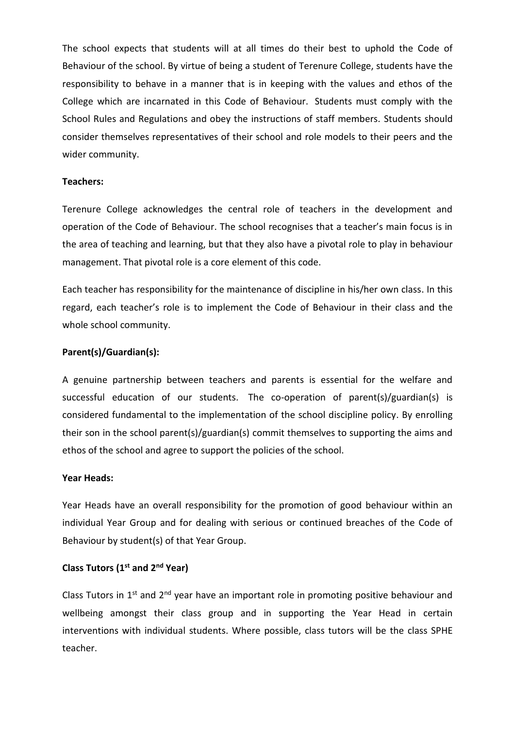The school expects that students will at all times do their best to uphold the Code of Behaviour of the school. By virtue of being a student of Terenure College, students have the responsibility to behave in a manner that is in keeping with the values and ethos of the College which are incarnated in this Code of Behaviour. Students must comply with the School Rules and Regulations and obey the instructions of staff members. Students should consider themselves representatives of their school and role models to their peers and the wider community.

#### **Teachers:**

Terenure College acknowledges the central role of teachers in the development and operation of the Code of Behaviour. The school recognises that a teacher's main focus is in the area of teaching and learning, but that they also have a pivotal role to play in behaviour management. That pivotal role is a core element of this code.

Each teacher has responsibility for the maintenance of discipline in his/her own class. In this regard, each teacher's role is to implement the Code of Behaviour in their class and the whole school community.

## **Parent(s)/Guardian(s):**

A genuine partnership between teachers and parents is essential for the welfare and successful education of our students. The co-operation of parent(s)/guardian(s) is considered fundamental to the implementation of the school discipline policy. By enrolling their son in the school parent(s)/guardian(s) commit themselves to supporting the aims and ethos of the school and agree to support the policies of the school.

## **Year Heads:**

Year Heads have an overall responsibility for the promotion of good behaviour within an individual Year Group and for dealing with serious or continued breaches of the Code of Behaviour by student(s) of that Year Group.

## **Class Tutors (1st and 2nd Year)**

Class Tutors in  $1<sup>st</sup>$  and  $2<sup>nd</sup>$  year have an important role in promoting positive behaviour and wellbeing amongst their class group and in supporting the Year Head in certain interventions with individual students. Where possible, class tutors will be the class SPHE teacher.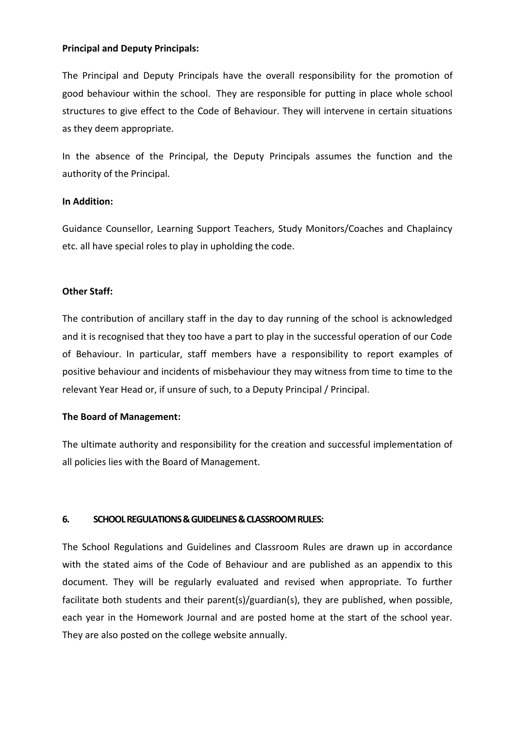## **Principal and Deputy Principals:**

The Principal and Deputy Principals have the overall responsibility for the promotion of good behaviour within the school. They are responsible for putting in place whole school structures to give effect to the Code of Behaviour. They will intervene in certain situations as they deem appropriate.

In the absence of the Principal, the Deputy Principals assumes the function and the authority of the Principal.

## **In Addition:**

Guidance Counsellor, Learning Support Teachers, Study Monitors/Coaches and Chaplaincy etc. all have special roles to play in upholding the code.

# **Other Staff:**

The contribution of ancillary staff in the day to day running of the school is acknowledged and it is recognised that they too have a part to play in the successful operation of our Code of Behaviour. In particular, staff members have a responsibility to report examples of positive behaviour and incidents of misbehaviour they may witness from time to time to the relevant Year Head or, if unsure of such, to a Deputy Principal / Principal.

# **The Board of Management:**

The ultimate authority and responsibility for the creation and successful implementation of all policies lies with the Board of Management.

# **6. SCHOOL REGULATIONS & GUIDELINES & CLASSROOM RULES:**

The School Regulations and Guidelines and Classroom Rules are drawn up in accordance with the stated aims of the Code of Behaviour and are published as an appendix to this document. They will be regularly evaluated and revised when appropriate. To further facilitate both students and their parent(s)/guardian(s), they are published, when possible, each year in the Homework Journal and are posted home at the start of the school year. They are also posted on the college website annually.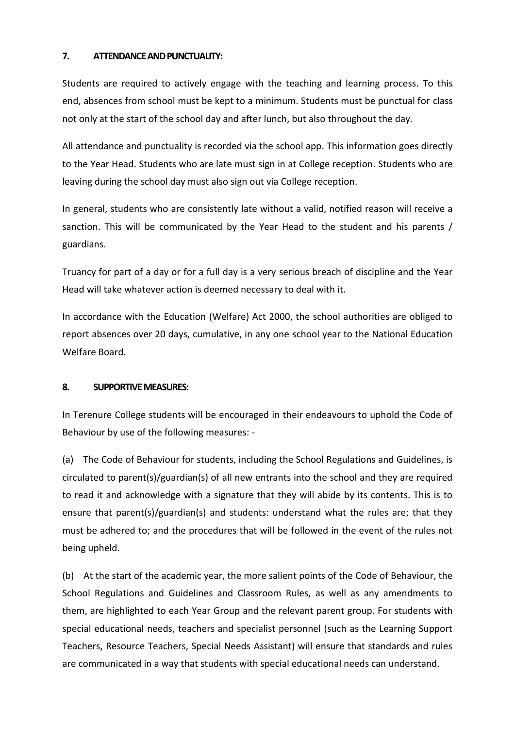## **7. ATTENDANCE AND PUNCTUALITY:**

Students are required to actively engage with the teaching and learning process. To this end, absences from school must be kept to a minimum. Students must be punctual for class not only at the start of the school day and after lunch, but also throughout the day.

All attendance and punctuality is recorded via the school app. This information goes directly to the Year Head. Students who are late must sign in at College reception. Students who are leaving during the school day must also sign out via College reception.

In general, students who are consistently late without a valid, notified reason will receive a sanction. This will be communicated by the Year Head to the student and his parents / guardians.

Truancy for part of a day or for a full day is a very serious breach of discipline and the Year Head will take whatever action is deemed necessary to deal with it.

In accordance with the Education (Welfare) Act 2000, the school authorities are obliged to report absences over 20 days, cumulative, in any one school year to the National Education Welfare Board.

# **8. SUPPORTIVE MEASURES:**

In Terenure College students will be encouraged in their endeavours to uphold the Code of Behaviour by use of the following measures: -

(a) The Code of Behaviour for students, including the School Regulations and Guidelines, is circulated to parent(s)/guardian(s) of all new entrants into the school and they are required to read it and acknowledge with a signature that they will abide by its contents. This is to ensure that parent(s)/guardian(s) and students: understand what the rules are; that they must be adhered to; and the procedures that will be followed in the event of the rules not being upheld.

(b) At the start of the academic year, the more salient points of the Code of Behaviour, the School Regulations and Guidelines and Classroom Rules, as well as any amendments to them, are highlighted to each Year Group and the relevant parent group. For students with special educational needs, teachers and specialist personnel (such as the Learning Support Teachers, Resource Teachers, Special Needs Assistant) will ensure that standards and rules are communicated in a way that students with special educational needs can understand.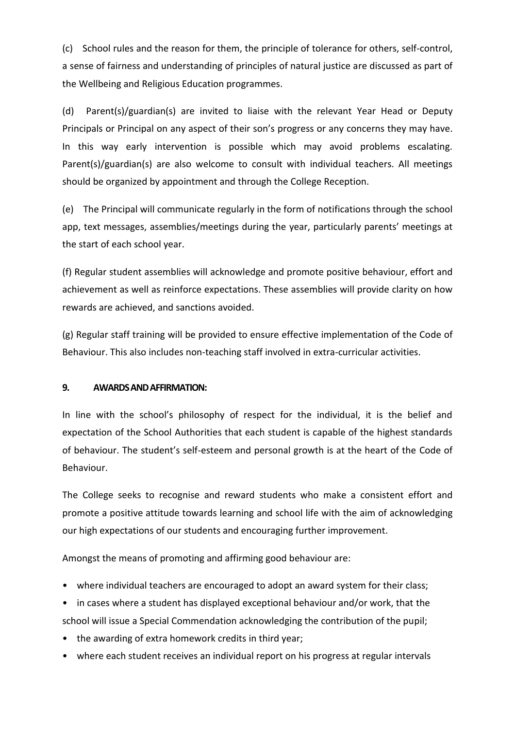(c) School rules and the reason for them, the principle of tolerance for others, self-control, a sense of fairness and understanding of principles of natural justice are discussed as part of the Wellbeing and Religious Education programmes.

(d) Parent(s)/guardian(s) are invited to liaise with the relevant Year Head or Deputy Principals or Principal on any aspect of their son's progress or any concerns they may have. In this way early intervention is possible which may avoid problems escalating. Parent(s)/guardian(s) are also welcome to consult with individual teachers. All meetings should be organized by appointment and through the College Reception.

(e) The Principal will communicate regularly in the form of notifications through the school app, text messages, assemblies/meetings during the year, particularly parents' meetings at the start of each school year.

(f) Regular student assemblies will acknowledge and promote positive behaviour, effort and achievement as well as reinforce expectations. These assemblies will provide clarity on how rewards are achieved, and sanctions avoided.

(g) Regular staff training will be provided to ensure effective implementation of the Code of Behaviour. This also includes non-teaching staff involved in extra-curricular activities.

## **9. AWARDS AND AFFIRMATION:**

In line with the school's philosophy of respect for the individual, it is the belief and expectation of the School Authorities that each student is capable of the highest standards of behaviour. The student's self-esteem and personal growth is at the heart of the Code of Behaviour.

The College seeks to recognise and reward students who make a consistent effort and promote a positive attitude towards learning and school life with the aim of acknowledging our high expectations of our students and encouraging further improvement.

Amongst the means of promoting and affirming good behaviour are:

- where individual teachers are encouraged to adopt an award system for their class;
- in cases where a student has displayed exceptional behaviour and/or work, that the

school will issue a Special Commendation acknowledging the contribution of the pupil;

- the awarding of extra homework credits in third year;
- where each student receives an individual report on his progress at regular intervals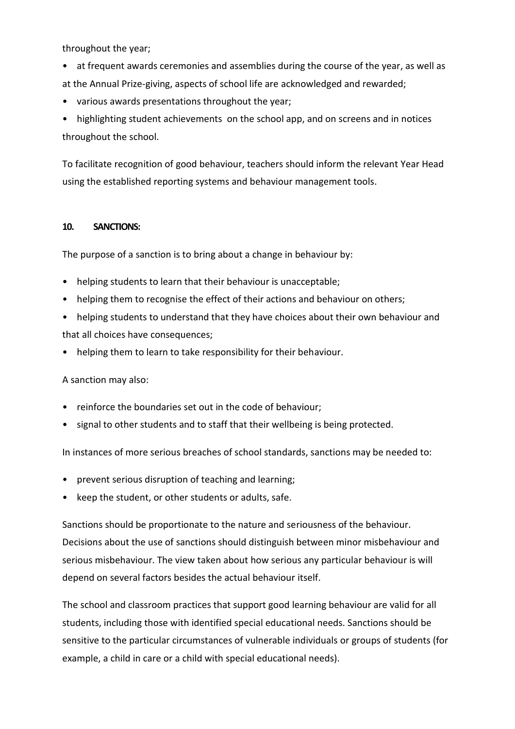throughout the year;

- at frequent awards ceremonies and assemblies during the course of the year, as well as at the Annual Prize-giving, aspects of school life are acknowledged and rewarded;
- various awards presentations throughout the year;

• highlighting student achievements on the school app, and on screens and in notices throughout the school.

To facilitate recognition of good behaviour, teachers should inform the relevant Year Head using the established reporting systems and behaviour management tools.

## **10. SANCTIONS:**

The purpose of a sanction is to bring about a change in behaviour by:

- helping students to learn that their behaviour is unacceptable;
- helping them to recognise the effect of their actions and behaviour on others;
- helping students to understand that they have choices about their own behaviour and that all choices have consequences;
- helping them to learn to take responsibility for their behaviour.

A sanction may also:

- reinforce the boundaries set out in the code of behaviour;
- signal to other students and to staff that their wellbeing is being protected.

In instances of more serious breaches of school standards, sanctions may be needed to:

- prevent serious disruption of teaching and learning;
- keep the student, or other students or adults, safe.

Sanctions should be proportionate to the nature and seriousness of the behaviour. Decisions about the use of sanctions should distinguish between minor misbehaviour and serious misbehaviour. The view taken about how serious any particular behaviour is will depend on several factors besides the actual behaviour itself.

The school and classroom practices that support good learning behaviour are valid for all students, including those with identified special educational needs. Sanctions should be sensitive to the particular circumstances of vulnerable individuals or groups of students (for example, a child in care or a child with special educational needs).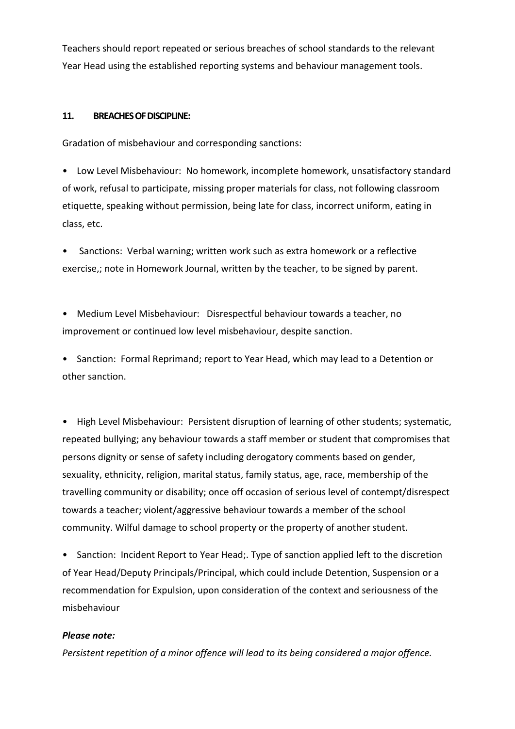Teachers should report repeated or serious breaches of school standards to the relevant Year Head using the established reporting systems and behaviour management tools.

## **11. BREACHES OF DISCIPLINE:**

Gradation of misbehaviour and corresponding sanctions:

• Low Level Misbehaviour: No homework, incomplete homework, unsatisfactory standard of work, refusal to participate, missing proper materials for class, not following classroom etiquette, speaking without permission, being late for class, incorrect uniform, eating in class, etc.

Sanctions: Verbal warning; written work such as extra homework or a reflective exercise,; note in Homework Journal, written by the teacher, to be signed by parent.

• Medium Level Misbehaviour: Disrespectful behaviour towards a teacher, no improvement or continued low level misbehaviour, despite sanction.

• Sanction: Formal Reprimand; report to Year Head, which may lead to a Detention or other sanction.

• High Level Misbehaviour: Persistent disruption of learning of other students; systematic, repeated bullying; any behaviour towards a staff member or student that compromises that persons dignity or sense of safety including derogatory comments based on gender, sexuality, ethnicity, religion, marital status, family status, age, race, membership of the travelling community or disability; once off occasion of serious level of contempt/disrespect towards a teacher; violent/aggressive behaviour towards a member of the school community. Wilful damage to school property or the property of another student.

• Sanction: Incident Report to Year Head;. Type of sanction applied left to the discretion of Year Head/Deputy Principals/Principal, which could include Detention, Suspension or a recommendation for Expulsion, upon consideration of the context and seriousness of the misbehaviour

## *Please note:*

*Persistent repetition of a minor offence will lead to its being considered a major offence.*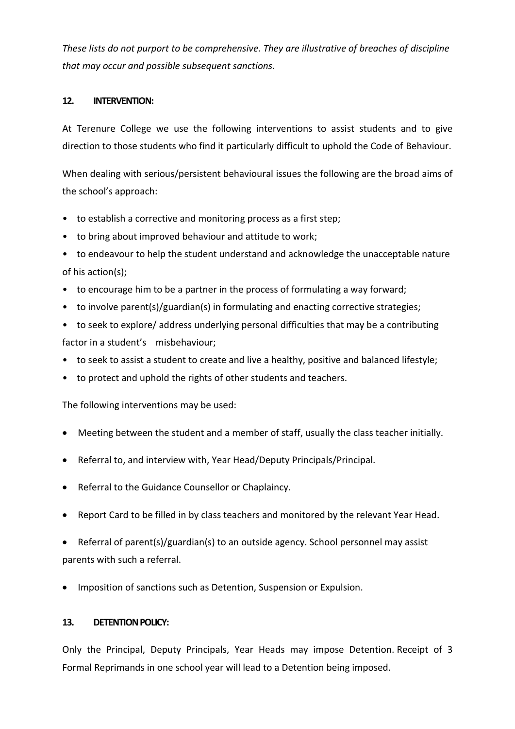*These lists do not purport to be comprehensive. They are illustrative of breaches of discipline that may occur and possible subsequent sanctions.*

## **12. INTERVENTION:**

At Terenure College we use the following interventions to assist students and to give direction to those students who find it particularly difficult to uphold the Code of Behaviour.

When dealing with serious/persistent behavioural issues the following are the broad aims of the school's approach:

- to establish a corrective and monitoring process as a first step;
- to bring about improved behaviour and attitude to work;
- to endeavour to help the student understand and acknowledge the unacceptable nature of his action(s);
- to encourage him to be a partner in the process of formulating a way forward;
- to involve parent(s)/guardian(s) in formulating and enacting corrective strategies;
- to seek to explore/ address underlying personal difficulties that may be a contributing factor in a student's misbehaviour;
- to seek to assist a student to create and live a healthy, positive and balanced lifestyle;
- to protect and uphold the rights of other students and teachers.

The following interventions may be used:

- Meeting between the student and a member of staff, usually the class teacher initially.
- Referral to, and interview with, Year Head/Deputy Principals/Principal.
- Referral to the Guidance Counsellor or Chaplaincy.
- Report Card to be filled in by class teachers and monitored by the relevant Year Head.
- Referral of parent(s)/guardian(s) to an outside agency. School personnel may assist parents with such a referral.
- Imposition of sanctions such as Detention, Suspension or Expulsion.

# **13. DETENTION POLICY:**

Only the Principal, Deputy Principals, Year Heads may impose Detention. Receipt of 3 Formal Reprimands in one school year will lead to a Detention being imposed.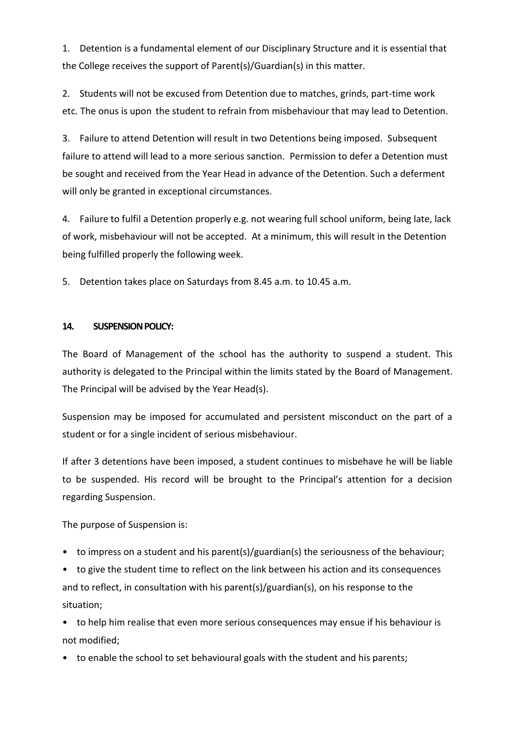1. Detention is a fundamental element of our Disciplinary Structure and it is essential that the College receives the support of Parent(s)/Guardian(s) in this matter.

2. Students will not be excused from Detention due to matches, grinds, part-time work etc. The onus is upon the student to refrain from misbehaviour that may lead to Detention.

3. Failure to attend Detention will result in two Detentions being imposed. Subsequent failure to attend will lead to a more serious sanction. Permission to defer a Detention must be sought and received from the Year Head in advance of the Detention. Such a deferment will only be granted in exceptional circumstances.

4. Failure to fulfil a Detention properly e.g. not wearing full school uniform, being late, lack of work, misbehaviour will not be accepted. At a minimum, this will result in the Detention being fulfilled properly the following week.

5. Detention takes place on Saturdays from 8.45 a.m. to 10.45 a.m.

## **14. SUSPENSION POLICY:**

The Board of Management of the school has the authority to suspend a student. This authority is delegated to the Principal within the limits stated by the Board of Management. The Principal will be advised by the Year Head(s).

Suspension may be imposed for accumulated and persistent misconduct on the part of a student or for a single incident of serious misbehaviour.

If after 3 detentions have been imposed, a student continues to misbehave he will be liable to be suspended. His record will be brought to the Principal's attention for a decision regarding Suspension.

The purpose of Suspension is:

• to impress on a student and his parent(s)/guardian(s) the seriousness of the behaviour;

• to give the student time to reflect on the link between his action and its consequences and to reflect, in consultation with his parent(s)/guardian(s), on his response to the situation;

• to help him realise that even more serious consequences may ensue if his behaviour is not modified;

• to enable the school to set behavioural goals with the student and his parents;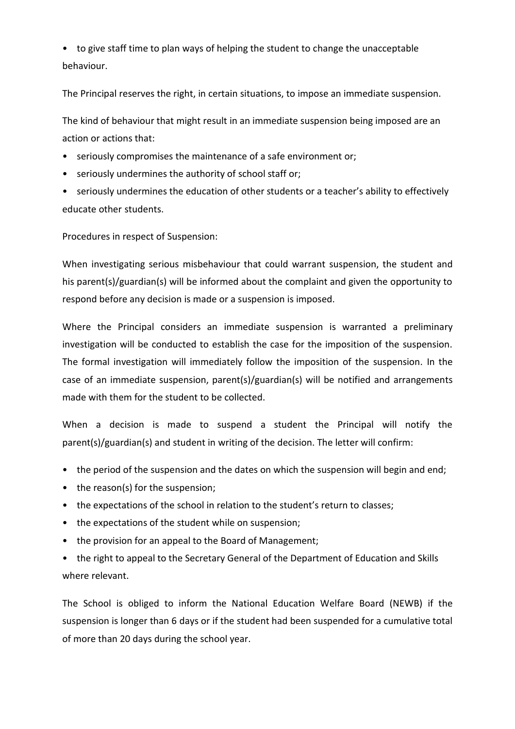• to give staff time to plan ways of helping the student to change the unacceptable behaviour.

The Principal reserves the right, in certain situations, to impose an immediate suspension.

The kind of behaviour that might result in an immediate suspension being imposed are an action or actions that:

- seriously compromises the maintenance of a safe environment or;
- seriously undermines the authority of school staff or;
- seriously undermines the education of other students or a teacher's ability to effectively educate other students.

Procedures in respect of Suspension:

When investigating serious misbehaviour that could warrant suspension, the student and his parent(s)/guardian(s) will be informed about the complaint and given the opportunity to respond before any decision is made or a suspension is imposed.

Where the Principal considers an immediate suspension is warranted a preliminary investigation will be conducted to establish the case for the imposition of the suspension. The formal investigation will immediately follow the imposition of the suspension. In the case of an immediate suspension, parent(s)/guardian(s) will be notified and arrangements made with them for the student to be collected.

When a decision is made to suspend a student the Principal will notify the parent(s)/guardian(s) and student in writing of the decision. The letter will confirm:

- the period of the suspension and the dates on which the suspension will begin and end;
- the reason(s) for the suspension;
- the expectations of the school in relation to the student's return to classes;
- the expectations of the student while on suspension;
- the provision for an appeal to the Board of Management;
- the right to appeal to the Secretary General of the Department of Education and Skills where relevant.

The School is obliged to inform the National Education Welfare Board (NEWB) if the suspension is longer than 6 days or if the student had been suspended for a cumulative total of more than 20 days during the school year.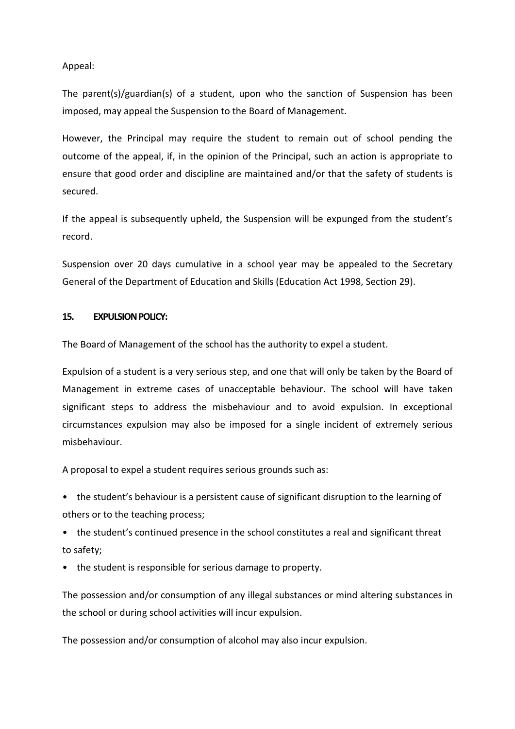Appeal:

The parent(s)/guardian(s) of a student, upon who the sanction of Suspension has been imposed, may appeal the Suspension to the Board of Management.

However, the Principal may require the student to remain out of school pending the outcome of the appeal, if, in the opinion of the Principal, such an action is appropriate to ensure that good order and discipline are maintained and/or that the safety of students is secured.

If the appeal is subsequently upheld, the Suspension will be expunged from the student's record.

Suspension over 20 days cumulative in a school year may be appealed to the Secretary General of the Department of Education and Skills (Education Act 1998, Section 29).

## **15. EXPULSION POLICY:**

The Board of Management of the school has the authority to expel a student.

Expulsion of a student is a very serious step, and one that will only be taken by the Board of Management in extreme cases of unacceptable behaviour. The school will have taken significant steps to address the misbehaviour and to avoid expulsion. In exceptional circumstances expulsion may also be imposed for a single incident of extremely serious misbehaviour.

A proposal to expel a student requires serious grounds such as:

• the student's behaviour is a persistent cause of significant disruption to the learning of others or to the teaching process;

- the student's continued presence in the school constitutes a real and significant threat to safety;
- the student is responsible for serious damage to property.

The possession and/or consumption of any illegal substances or mind altering substances in the school or during school activities will incur expulsion.

The possession and/or consumption of alcohol may also incur expulsion.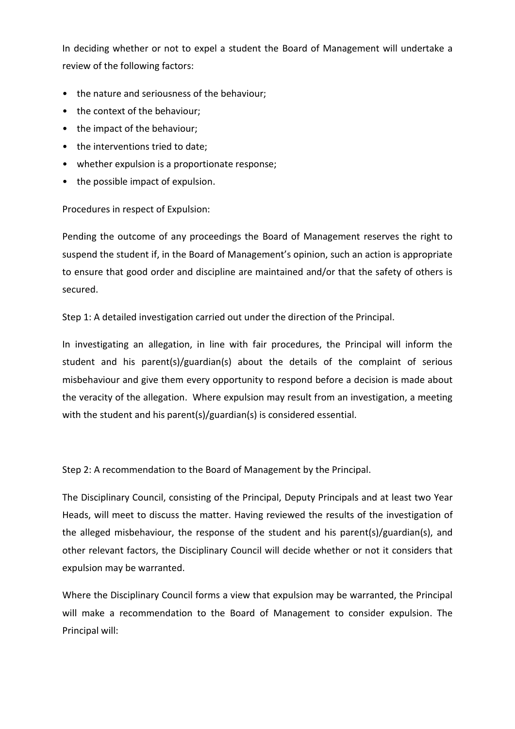In deciding whether or not to expel a student the Board of Management will undertake a review of the following factors:

- the nature and seriousness of the behaviour;
- the context of the behaviour;
- the impact of the behaviour;
- the interventions tried to date;
- whether expulsion is a proportionate response;
- the possible impact of expulsion.

Procedures in respect of Expulsion:

Pending the outcome of any proceedings the Board of Management reserves the right to suspend the student if, in the Board of Management's opinion, such an action is appropriate to ensure that good order and discipline are maintained and/or that the safety of others is secured.

Step 1: A detailed investigation carried out under the direction of the Principal.

In investigating an allegation, in line with fair procedures, the Principal will inform the student and his parent(s)/guardian(s) about the details of the complaint of serious misbehaviour and give them every opportunity to respond before a decision is made about the veracity of the allegation. Where expulsion may result from an investigation, a meeting with the student and his parent(s)/guardian(s) is considered essential.

Step 2: A recommendation to the Board of Management by the Principal.

The Disciplinary Council, consisting of the Principal, Deputy Principals and at least two Year Heads, will meet to discuss the matter. Having reviewed the results of the investigation of the alleged misbehaviour, the response of the student and his parent(s)/guardian(s), and other relevant factors, the Disciplinary Council will decide whether or not it considers that expulsion may be warranted.

Where the Disciplinary Council forms a view that expulsion may be warranted, the Principal will make a recommendation to the Board of Management to consider expulsion. The Principal will: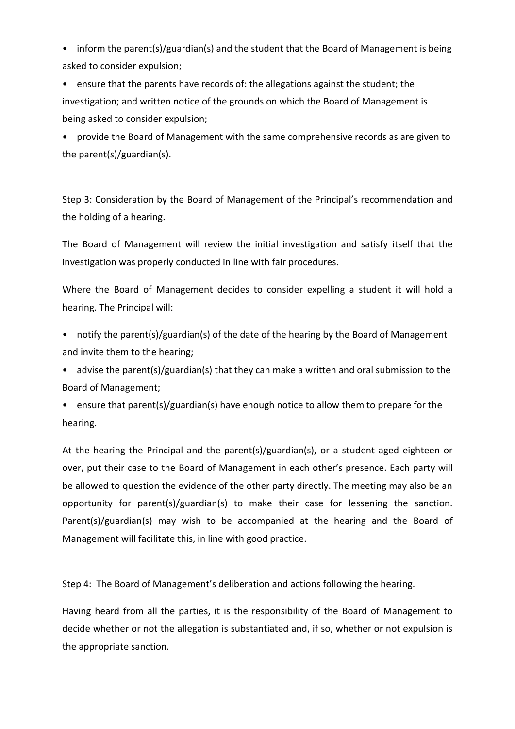• inform the parent(s)/guardian(s) and the student that the Board of Management is being asked to consider expulsion;

• ensure that the parents have records of: the allegations against the student; the investigation; and written notice of the grounds on which the Board of Management is being asked to consider expulsion;

• provide the Board of Management with the same comprehensive records as are given to the parent(s)/guardian(s).

Step 3: Consideration by the Board of Management of the Principal's recommendation and the holding of a hearing.

The Board of Management will review the initial investigation and satisfy itself that the investigation was properly conducted in line with fair procedures.

Where the Board of Management decides to consider expelling a student it will hold a hearing. The Principal will:

- notify the parent(s)/guardian(s) of the date of the hearing by the Board of Management and invite them to the hearing;
- advise the parent(s)/guardian(s) that they can make a written and oral submission to the Board of Management;
- ensure that parent(s)/guardian(s) have enough notice to allow them to prepare for the hearing.

At the hearing the Principal and the parent(s)/guardian(s), or a student aged eighteen or over, put their case to the Board of Management in each other's presence. Each party will be allowed to question the evidence of the other party directly. The meeting may also be an opportunity for parent(s)/guardian(s) to make their case for lessening the sanction. Parent(s)/guardian(s) may wish to be accompanied at the hearing and the Board of Management will facilitate this, in line with good practice.

Step 4: The Board of Management's deliberation and actions following the hearing.

Having heard from all the parties, it is the responsibility of the Board of Management to decide whether or not the allegation is substantiated and, if so, whether or not expulsion is the appropriate sanction.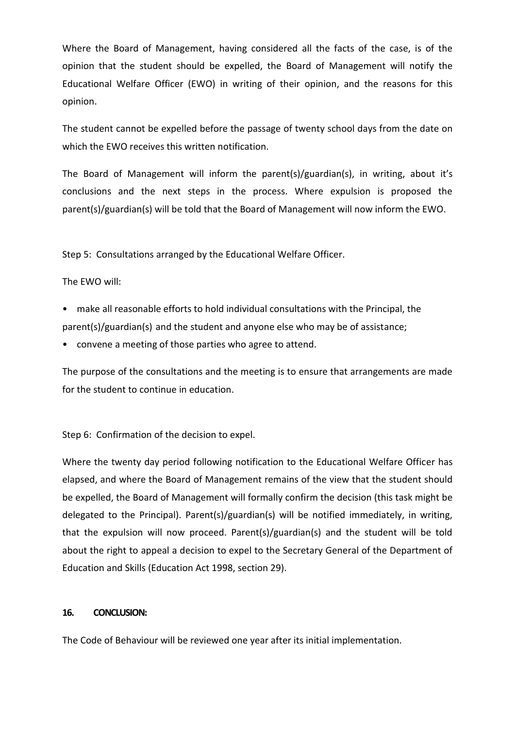Where the Board of Management, having considered all the facts of the case, is of the opinion that the student should be expelled, the Board of Management will notify the Educational Welfare Officer (EWO) in writing of their opinion, and the reasons for this opinion.

The student cannot be expelled before the passage of twenty school days from the date on which the EWO receives this written notification.

The Board of Management will inform the parent(s)/guardian(s), in writing, about it's conclusions and the next steps in the process. Where expulsion is proposed the parent(s)/guardian(s) will be told that the Board of Management will now inform the EWO.

Step 5: Consultations arranged by the Educational Welfare Officer.

The EWO will:

- make all reasonable efforts to hold individual consultations with the Principal, the parent(s)/guardian(s) and the student and anyone else who may be of assistance;
- convene a meeting of those parties who agree to attend.

The purpose of the consultations and the meeting is to ensure that arrangements are made for the student to continue in education.

Step 6: Confirmation of the decision to expel.

Where the twenty day period following notification to the Educational Welfare Officer has elapsed, and where the Board of Management remains of the view that the student should be expelled, the Board of Management will formally confirm the decision (this task might be delegated to the Principal). Parent(s)/guardian(s) will be notified immediately, in writing, that the expulsion will now proceed. Parent(s)/guardian(s) and the student will be told about the right to appeal a decision to expel to the Secretary General of the Department of Education and Skills (Education Act 1998, section 29).

## **16. CONCLUSION:**

The Code of Behaviour will be reviewed one year after its initial implementation.